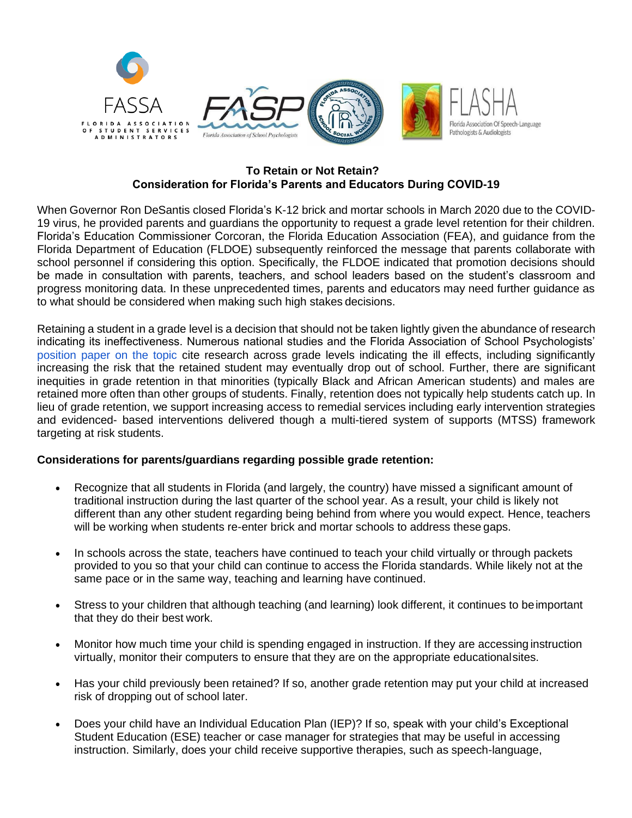

## **To Retain or Not Retain? Consideration for Florida's Parents and Educators During COVID-19**

When Governor Ron DeSantis closed Florida's K-12 brick and mortar schools in March 2020 due to the COVID-19 virus, he provided parents and guardians the opportunity to request a grade level retention for their children. Florida's Education Commissioner Corcoran, the Florida Education Association (FEA), and guidance from the Florida Department of Education (FLDOE) subsequently reinforced the message that parents collaborate with school personnel if considering this option. Specifically, the FLDOE indicated that promotion decisions should be made in consultation with parents, teachers, and school leaders based on the student's classroom and progress monitoring data. In these unprecedented times, parents and educators may need further guidance as to what should be considered when making such high stakes decisions.

Retaining a student in a grade level is a decision that should not be taken lightly given the abundance of research indicating its ineffectiveness. Numerous national studies and the Florida Association of School Psychologists' [position paper on the topic](http://www.fasp.org/PDF_Files/FASP_Publications/FASP_Position_Statement_Grade_Retention_Social_Promotion_2015.pdf) cite research across grade levels indicating the ill effects, including significantly increasing the risk that the retained student may eventually drop out of school. Further, there are significant inequities in grade retention in that minorities (typically Black and African American students) and males are retained more often than other groups of students. Finally, retention does not typically help students catch up. In lieu of grade retention, we support increasing access to remedial services including early intervention strategies and evidenced- based interventions delivered though a multi-tiered system of supports (MTSS) framework targeting at risk students.

## **Considerations for parents/guardians regarding possible grade retention:**

- Recognize that all students in Florida (and largely, the country) have missed a significant amount of traditional instruction during the last quarter of the school year. As a result, your child is likely not different than any other student regarding being behind from where you would expect. Hence, teachers will be working when students re-enter brick and mortar schools to address these gaps.
- In schools across the state, teachers have continued to teach your child virtually or through packets provided to you so that your child can continue to access the Florida standards. While likely not at the same pace or in the same way, teaching and learning have continued.
- Stress to your children that although teaching (and learning) look different, it continues to beimportant that they do their best work.
- Monitor how much time your child is spending engaged in instruction. If they are accessing instruction virtually, monitor their computers to ensure that they are on the appropriate educationalsites.
- Has your child previously been retained? If so, another grade retention may put your child at increased risk of dropping out of school later.
- Does your child have an Individual Education Plan (IEP)? If so, speak with your child's Exceptional Student Education (ESE) teacher or case manager for strategies that may be useful in accessing instruction. Similarly, does your child receive supportive therapies, such as speech-language,